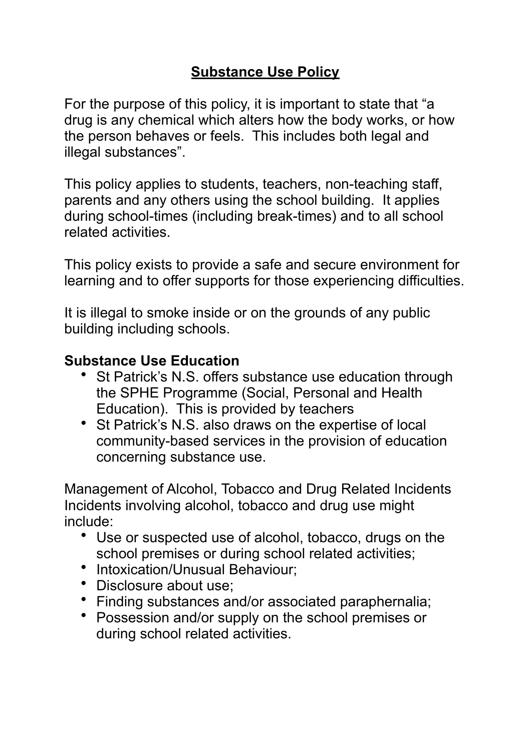## **Substance Use Policy**

For the purpose of this policy, it is important to state that "a drug is any chemical which alters how the body works, or how the person behaves or feels. This includes both legal and illegal substances".

This policy applies to students, teachers, non-teaching staff, parents and any others using the school building. It applies during school-times (including break-times) and to all school related activities.

This policy exists to provide a safe and secure environment for learning and to offer supports for those experiencing difficulties.

It is illegal to smoke inside or on the grounds of any public building including schools.

## **Substance Use Education**

- St Patrick's N.S. offers substance use education through the SPHE Programme (Social, Personal and Health Education). This is provided by teachers
- St Patrick's N.S. also draws on the expertise of local community-based services in the provision of education concerning substance use.

Management of Alcohol, Tobacco and Drug Related Incidents Incidents involving alcohol, tobacco and drug use might include:

- Use or suspected use of alcohol, tobacco, drugs on the school premises or during school related activities;
- Intoxication/Unusual Behaviour;
- Disclosure about use;
- Finding substances and/or associated paraphernalia;
- Possession and/or supply on the school premises or during school related activities.